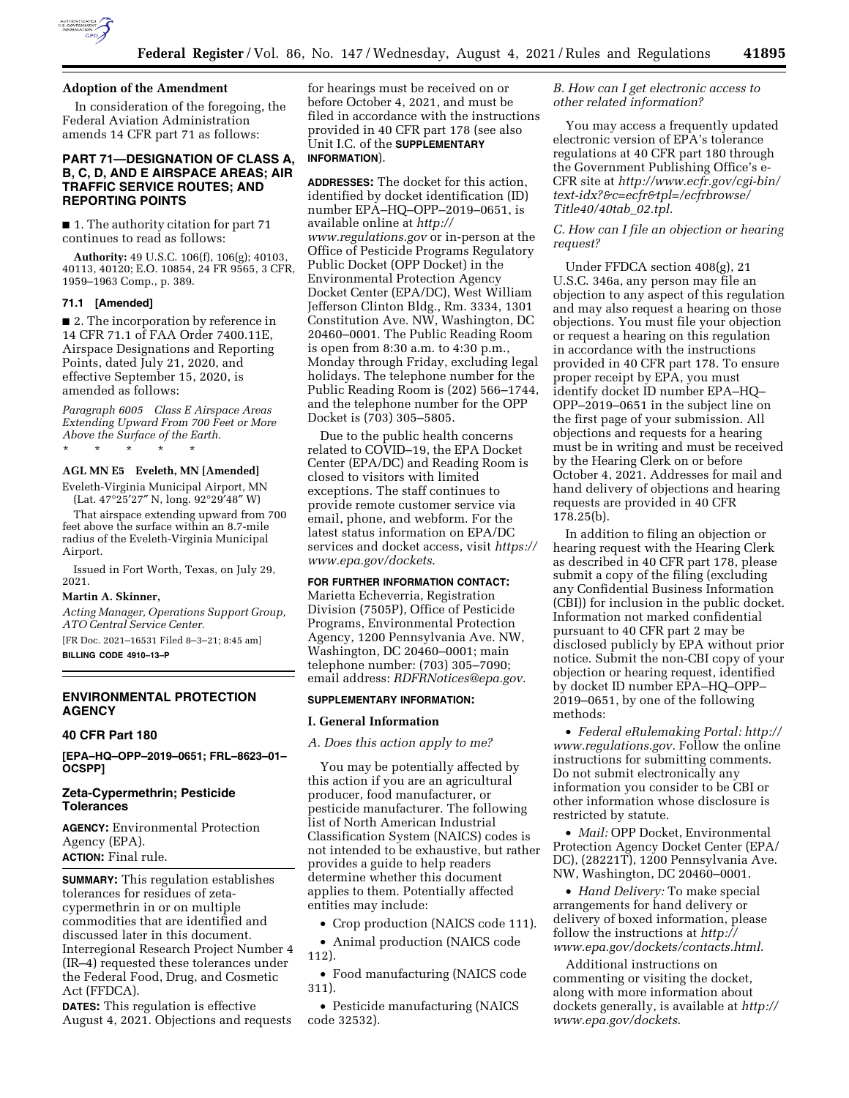

## **Adoption of the Amendment**

In consideration of the foregoing, the Federal Aviation Administration amends 14 CFR part 71 as follows:

## **PART 71—DESIGNATION OF CLASS A, B, C, D, AND E AIRSPACE AREAS; AIR TRAFFIC SERVICE ROUTES; AND REPORTING POINTS**

■ 1. The authority citation for part 71 continues to read as follows:

**Authority:** 49 U.S.C. 106(f), 106(g); 40103, 40113, 40120; E.O. 10854, 24 FR 9565, 3 CFR, 1959–1963 Comp., p. 389.

## **71.1 [Amended]**

■ 2. The incorporation by reference in 14 CFR 71.1 of FAA Order 7400.11E, Airspace Designations and Reporting Points, dated July 21, 2020, and effective September 15, 2020, is amended as follows:

*Paragraph 6005 Class E Airspace Areas Extending Upward From 700 Feet or More Above the Surface of the Earth.* 

\* \* \* \* \*

# **AGL MN E5 Eveleth, MN [Amended]**

Eveleth-Virginia Municipal Airport, MN (Lat. 47°25′27″ N, long. 92°29′48″ W)

That airspace extending upward from 700 feet above the surface within an 8.7-mile radius of the Eveleth-Virginia Municipal Airport.

Issued in Fort Worth, Texas, on July 29, 2021.

## **Martin A. Skinner,**

*Acting Manager, Operations Support Group, ATO Central Service Center.* 

[FR Doc. 2021–16531 Filed 8–3–21; 8:45 am] **BILLING CODE 4910–13–P** 

## **ENVIRONMENTAL PROTECTION AGENCY**

#### **40 CFR Part 180**

**[EPA–HQ–OPP–2019–0651; FRL–8623–01– OCSPP]** 

## **Zeta-Cypermethrin; Pesticide Tolerances**

**AGENCY:** Environmental Protection Agency (EPA). **ACTION:** Final rule.

**SUMMARY:** This regulation establishes tolerances for residues of zetacypermethrin in or on multiple commodities that are identified and discussed later in this document. Interregional Research Project Number 4 (IR–4) requested these tolerances under the Federal Food, Drug, and Cosmetic Act (FFDCA).

**DATES:** This regulation is effective August 4, 2021. Objections and requests

for hearings must be received on or before October 4, 2021, and must be filed in accordance with the instructions provided in 40 CFR part 178 (see also Unit I.C. of the **SUPPLEMENTARY INFORMATION**).

**ADDRESSES:** The docket for this action, identified by docket identification (ID) number EPA–HQ–OPP–2019–0651, is available online at *[http://](http://www.regulations.gov) [www.regulations.gov](http://www.regulations.gov)* or in-person at the Office of Pesticide Programs Regulatory Public Docket (OPP Docket) in the Environmental Protection Agency Docket Center (EPA/DC), West William Jefferson Clinton Bldg., Rm. 3334, 1301 Constitution Ave. NW, Washington, DC 20460–0001. The Public Reading Room is open from 8:30 a.m. to 4:30 p.m., Monday through Friday, excluding legal holidays. The telephone number for the Public Reading Room is (202) 566–1744, and the telephone number for the OPP Docket is (703) 305–5805.

Due to the public health concerns related to COVID–19, the EPA Docket Center (EPA/DC) and Reading Room is closed to visitors with limited exceptions. The staff continues to provide remote customer service via email, phone, and webform. For the latest status information on EPA/DC services and docket access, visit *[https://](https://www.epa.gov/dockets) [www.epa.gov/dockets](https://www.epa.gov/dockets)*.

## **FOR FURTHER INFORMATION CONTACT:**

Marietta Echeverria, Registration Division (7505P), Office of Pesticide Programs, Environmental Protection Agency, 1200 Pennsylvania Ave. NW, Washington, DC 20460–0001; main telephone number: (703) 305–7090; email address: *[RDFRNotices@epa.gov](mailto:RDFRNotices@epa.gov)*.

## **SUPPLEMENTARY INFORMATION:**

#### **I. General Information**

*A. Does this action apply to me?* 

You may be potentially affected by this action if you are an agricultural producer, food manufacturer, or pesticide manufacturer. The following list of North American Industrial Classification System (NAICS) codes is not intended to be exhaustive, but rather provides a guide to help readers determine whether this document applies to them. Potentially affected entities may include:

• Crop production (NAICS code 111).

• Animal production (NAICS code 112).

• Food manufacturing (NAICS code 311).

• Pesticide manufacturing (NAICS code 32532).

## *B. How can I get electronic access to other related information?*

You may access a frequently updated electronic version of EPA's tolerance regulations at 40 CFR part 180 through the Government Publishing Office's e-CFR site at *[http://www.ecfr.gov/cgi-bin/](http://www.ecfr.gov/cgi-bin/text-idx?&c=ecfr&tpl=/ecfrbrowse/Title40/40tab_02.tpl)  [text-idx?&c=ecfr&tpl=/ecfrbrowse/](http://www.ecfr.gov/cgi-bin/text-idx?&c=ecfr&tpl=/ecfrbrowse/Title40/40tab_02.tpl) [Title40/40tab](http://www.ecfr.gov/cgi-bin/text-idx?&c=ecfr&tpl=/ecfrbrowse/Title40/40tab_02.tpl)*\_*02.tpl*.

*C. How can I file an objection or hearing request?* 

Under FFDCA section 408(g), 21 U.S.C. 346a, any person may file an objection to any aspect of this regulation and may also request a hearing on those objections. You must file your objection or request a hearing on this regulation in accordance with the instructions provided in 40 CFR part 178. To ensure proper receipt by EPA, you must identify docket ID number EPA–HQ– OPP–2019–0651 in the subject line on the first page of your submission. All objections and requests for a hearing must be in writing and must be received by the Hearing Clerk on or before October 4, 2021. Addresses for mail and hand delivery of objections and hearing requests are provided in 40 CFR 178.25(b).

In addition to filing an objection or hearing request with the Hearing Clerk as described in 40 CFR part 178, please submit a copy of the filing (excluding any Confidential Business Information (CBI)) for inclusion in the public docket. Information not marked confidential pursuant to 40 CFR part 2 may be disclosed publicly by EPA without prior notice. Submit the non-CBI copy of your objection or hearing request, identified by docket ID number EPA–HQ–OPP– 2019–0651, by one of the following methods:

• *Federal eRulemaking Portal: [http://](http://www.regulations.gov)  [www.regulations.gov.](http://www.regulations.gov)* Follow the online instructions for submitting comments. Do not submit electronically any information you consider to be CBI or other information whose disclosure is restricted by statute.

• *Mail:* OPP Docket, Environmental Protection Agency Docket Center (EPA/ DC), (28221T), 1200 Pennsylvania Ave. NW, Washington, DC 20460–0001.

• *Hand Delivery:* To make special arrangements for hand delivery or delivery of boxed information, please follow the instructions at *[http://](http://www.epa.gov/dockets/contacts.html) [www.epa.gov/dockets/contacts.html](http://www.epa.gov/dockets/contacts.html)*.

Additional instructions on commenting or visiting the docket, along with more information about dockets generally, is available at *[http://](http://www.epa.gov/dockets) [www.epa.gov/dockets](http://www.epa.gov/dockets)*.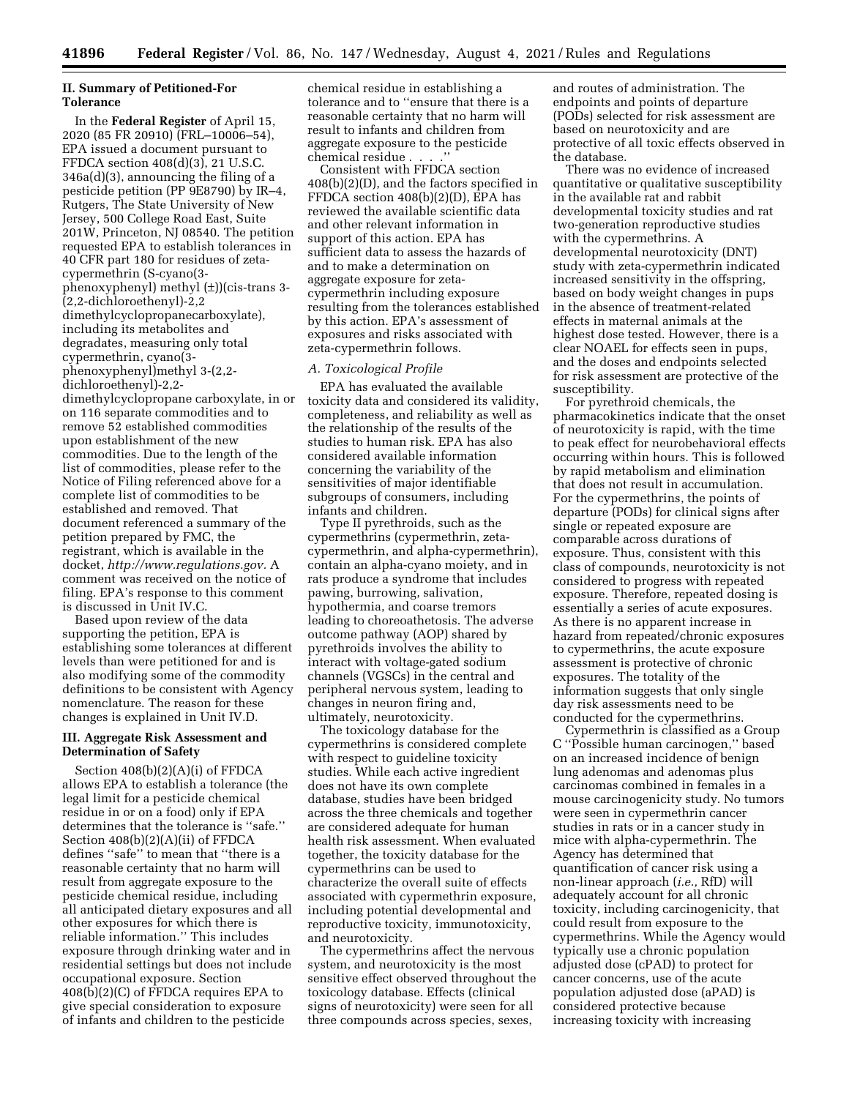## **II. Summary of Petitioned-For Tolerance**

In the **Federal Register** of April 15, 2020 (85 FR 20910) (FRL–10006–54), EPA issued a document pursuant to FFDCA section 408(d)(3), 21 U.S.C. 346a(d)(3), announcing the filing of a pesticide petition (PP 9E8790) by IR–4, Rutgers, The State University of New Jersey, 500 College Road East, Suite 201W, Princeton, NJ 08540. The petition requested EPA to establish tolerances in 40 CFR part 180 for residues of zetacypermethrin (S-cyano(3 phenoxyphenyl) methyl (±))(cis-trans 3- (2,2-dichloroethenyl)-2,2 dimethylcyclopropanecarboxylate), including its metabolites and degradates, measuring only total cypermethrin, cyano(3 phenoxyphenyl)methyl 3-(2,2 dichloroethenyl)-2,2 dimethylcyclopropane carboxylate, in or on 116 separate commodities and to remove 52 established commodities upon establishment of the new commodities. Due to the length of the

list of commodities, please refer to the Notice of Filing referenced above for a complete list of commodities to be established and removed. That document referenced a summary of the petition prepared by FMC, the registrant, which is available in the docket, *[http://www.regulations.gov.](http://www.regulations.gov)* A comment was received on the notice of filing. EPA's response to this comment is discussed in Unit IV.C.

Based upon review of the data supporting the petition, EPA is establishing some tolerances at different levels than were petitioned for and is also modifying some of the commodity definitions to be consistent with Agency nomenclature. The reason for these changes is explained in Unit IV.D.

## **III. Aggregate Risk Assessment and Determination of Safety**

Section 408(b)(2)(A)(i) of FFDCA allows EPA to establish a tolerance (the legal limit for a pesticide chemical residue in or on a food) only if EPA determines that the tolerance is ''safe.'' Section 408(b)(2)(A)(ii) of FFDCA defines ''safe'' to mean that ''there is a reasonable certainty that no harm will result from aggregate exposure to the pesticide chemical residue, including all anticipated dietary exposures and all other exposures for which there is reliable information.'' This includes exposure through drinking water and in residential settings but does not include occupational exposure. Section  $408(\overline{\text{b}})(2)(\text{C})$  of FFDCA requires EPA to give special consideration to exposure of infants and children to the pesticide

chemical residue in establishing a tolerance and to ''ensure that there is a reasonable certainty that no harm will result to infants and children from aggregate exposure to the pesticide chemical residue . . . .''

Consistent with FFDCA section 408(b)(2)(D), and the factors specified in FFDCA section 408(b)(2)(D), EPA has reviewed the available scientific data and other relevant information in support of this action. EPA has sufficient data to assess the hazards of and to make a determination on aggregate exposure for zetacypermethrin including exposure resulting from the tolerances established by this action. EPA's assessment of exposures and risks associated with zeta-cypermethrin follows.

## *A. Toxicological Profile*

EPA has evaluated the available toxicity data and considered its validity, completeness, and reliability as well as the relationship of the results of the studies to human risk. EPA has also considered available information concerning the variability of the sensitivities of major identifiable subgroups of consumers, including infants and children.

Type II pyrethroids, such as the cypermethrins (cypermethrin, zetacypermethrin, and alpha-cypermethrin), contain an alpha-cyano moiety, and in rats produce a syndrome that includes pawing, burrowing, salivation, hypothermia, and coarse tremors leading to choreoathetosis. The adverse outcome pathway (AOP) shared by pyrethroids involves the ability to interact with voltage-gated sodium channels (VGSCs) in the central and peripheral nervous system, leading to changes in neuron firing and, ultimately, neurotoxicity.

The toxicology database for the cypermethrins is considered complete with respect to guideline toxicity studies. While each active ingredient does not have its own complete database, studies have been bridged across the three chemicals and together are considered adequate for human health risk assessment. When evaluated together, the toxicity database for the cypermethrins can be used to characterize the overall suite of effects associated with cypermethrin exposure, including potential developmental and reproductive toxicity, immunotoxicity, and neurotoxicity.

The cypermethrins affect the nervous system, and neurotoxicity is the most sensitive effect observed throughout the toxicology database. Effects (clinical signs of neurotoxicity) were seen for all three compounds across species, sexes,

and routes of administration. The endpoints and points of departure (PODs) selected for risk assessment are based on neurotoxicity and are protective of all toxic effects observed in the database.

There was no evidence of increased quantitative or qualitative susceptibility in the available rat and rabbit developmental toxicity studies and rat two-generation reproductive studies with the cypermethrins. A developmental neurotoxicity (DNT) study with zeta-cypermethrin indicated increased sensitivity in the offspring, based on body weight changes in pups in the absence of treatment-related effects in maternal animals at the highest dose tested. However, there is a clear NOAEL for effects seen in pups, and the doses and endpoints selected for risk assessment are protective of the susceptibility.

For pyrethroid chemicals, the pharmacokinetics indicate that the onset of neurotoxicity is rapid, with the time to peak effect for neurobehavioral effects occurring within hours. This is followed by rapid metabolism and elimination that does not result in accumulation. For the cypermethrins, the points of departure (PODs) for clinical signs after single or repeated exposure are comparable across durations of exposure. Thus, consistent with this class of compounds, neurotoxicity is not considered to progress with repeated exposure. Therefore, repeated dosing is essentially a series of acute exposures. As there is no apparent increase in hazard from repeated/chronic exposures to cypermethrins, the acute exposure assessment is protective of chronic exposures. The totality of the information suggests that only single day risk assessments need to be conducted for the cypermethrins.

Cypermethrin is classified as a Group C ''Possible human carcinogen,'' based on an increased incidence of benign lung adenomas and adenomas plus carcinomas combined in females in a mouse carcinogenicity study. No tumors were seen in cypermethrin cancer studies in rats or in a cancer study in mice with alpha-cypermethrin. The Agency has determined that quantification of cancer risk using a non-linear approach (*i.e.,* RfD) will adequately account for all chronic toxicity, including carcinogenicity, that could result from exposure to the cypermethrins. While the Agency would typically use a chronic population adjusted dose (cPAD) to protect for cancer concerns, use of the acute population adjusted dose (aPAD) is considered protective because increasing toxicity with increasing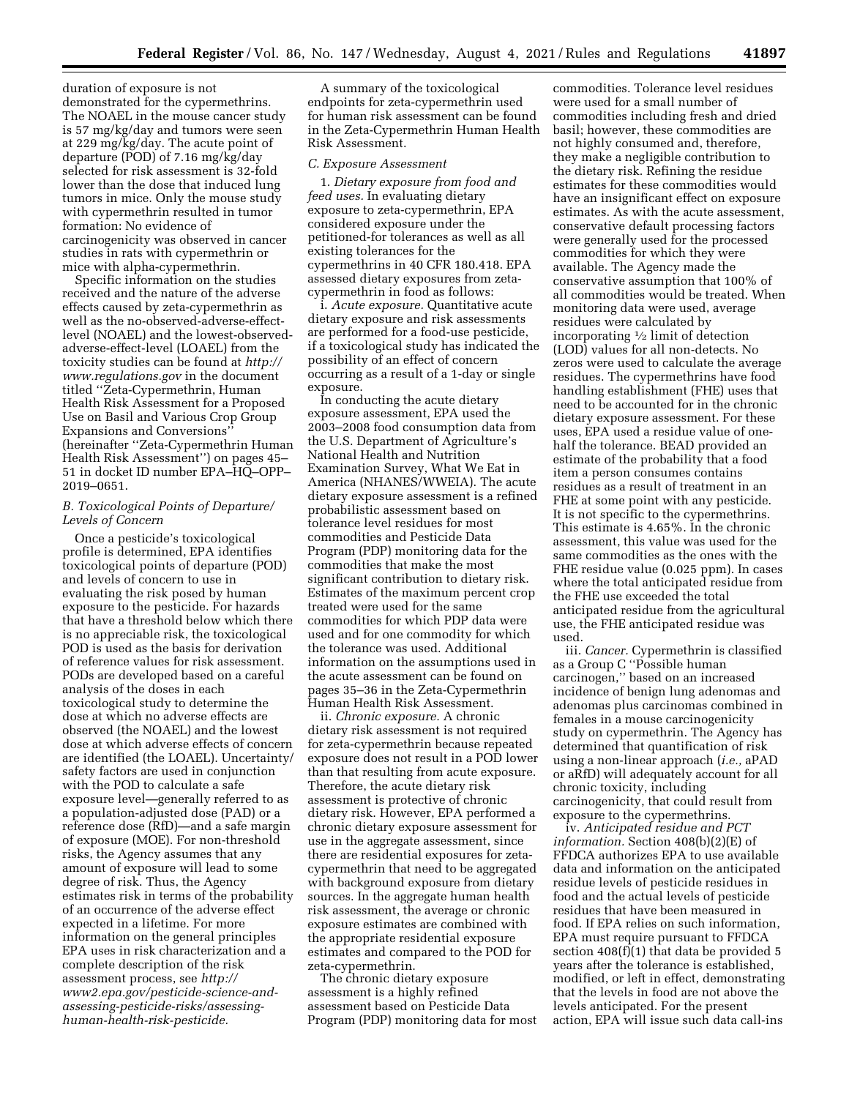duration of exposure is not demonstrated for the cypermethrins. The NOAEL in the mouse cancer study is 57 mg/kg/day and tumors were seen at 229 mg/kg/day. The acute point of departure (POD) of 7.16 mg/kg/day selected for risk assessment is 32-fold lower than the dose that induced lung tumors in mice. Only the mouse study with cypermethrin resulted in tumor formation: No evidence of carcinogenicity was observed in cancer studies in rats with cypermethrin or mice with alpha-cypermethrin.

Specific information on the studies received and the nature of the adverse effects caused by zeta-cypermethrin as well as the no-observed-adverse-effectlevel (NOAEL) and the lowest-observedadverse-effect-level (LOAEL) from the toxicity studies can be found at *[http://](http://www.regulations.gov) [www.regulations.gov](http://www.regulations.gov)* in the document titled ''Zeta-Cypermethrin, Human Health Risk Assessment for a Proposed Use on Basil and Various Crop Group Expansions and Conversions'' (hereinafter ''Zeta-Cypermethrin Human Health Risk Assessment'') on pages 45– 51 in docket ID number EPA–HQ–OPP– 2019–0651.

## *B. Toxicological Points of Departure/ Levels of Concern*

Once a pesticide's toxicological profile is determined, EPA identifies toxicological points of departure (POD) and levels of concern to use in evaluating the risk posed by human exposure to the pesticide. For hazards that have a threshold below which there is no appreciable risk, the toxicological POD is used as the basis for derivation of reference values for risk assessment. PODs are developed based on a careful analysis of the doses in each toxicological study to determine the dose at which no adverse effects are observed (the NOAEL) and the lowest dose at which adverse effects of concern are identified (the LOAEL). Uncertainty/ safety factors are used in conjunction with the POD to calculate a safe exposure level—generally referred to as a population-adjusted dose (PAD) or a reference dose (RfD)—and a safe margin of exposure (MOE). For non-threshold risks, the Agency assumes that any amount of exposure will lead to some degree of risk. Thus, the Agency estimates risk in terms of the probability of an occurrence of the adverse effect expected in a lifetime. For more information on the general principles EPA uses in risk characterization and a complete description of the risk assessment process, see *[http://](http://www2.epa.gov/pesticide-science-and-assessing-pesticide-risks/assessing-human-health-risk-pesticide) [www2.epa.gov/pesticide-science-and](http://www2.epa.gov/pesticide-science-and-assessing-pesticide-risks/assessing-human-health-risk-pesticide)[assessing-pesticide-risks/assessing](http://www2.epa.gov/pesticide-science-and-assessing-pesticide-risks/assessing-human-health-risk-pesticide)[human-health-risk-pesticide.](http://www2.epa.gov/pesticide-science-and-assessing-pesticide-risks/assessing-human-health-risk-pesticide)* 

A summary of the toxicological endpoints for zeta-cypermethrin used for human risk assessment can be found in the Zeta-Cypermethrin Human Health Risk Assessment.

#### *C. Exposure Assessment*

1. *Dietary exposure from food and feed uses.* In evaluating dietary exposure to zeta-cypermethrin, EPA considered exposure under the petitioned-for tolerances as well as all existing tolerances for the cypermethrins in 40 CFR 180.418. EPA assessed dietary exposures from zetacypermethrin in food as follows:

i. *Acute exposure.* Quantitative acute dietary exposure and risk assessments are performed for a food-use pesticide, if a toxicological study has indicated the possibility of an effect of concern occurring as a result of a 1-day or single exposure.

In conducting the acute dietary exposure assessment, EPA used the 2003–2008 food consumption data from the U.S. Department of Agriculture's National Health and Nutrition Examination Survey, What We Eat in America (NHANES/WWEIA). The acute dietary exposure assessment is a refined probabilistic assessment based on tolerance level residues for most commodities and Pesticide Data Program (PDP) monitoring data for the commodities that make the most significant contribution to dietary risk. Estimates of the maximum percent crop treated were used for the same commodities for which PDP data were used and for one commodity for which the tolerance was used. Additional information on the assumptions used in the acute assessment can be found on pages 35–36 in the Zeta-Cypermethrin Human Health Risk Assessment.

ii. *Chronic exposure.* A chronic dietary risk assessment is not required for zeta-cypermethrin because repeated exposure does not result in a POD lower than that resulting from acute exposure. Therefore, the acute dietary risk assessment is protective of chronic dietary risk. However, EPA performed a chronic dietary exposure assessment for use in the aggregate assessment, since there are residential exposures for zetacypermethrin that need to be aggregated with background exposure from dietary sources. In the aggregate human health risk assessment, the average or chronic exposure estimates are combined with the appropriate residential exposure estimates and compared to the POD for zeta-cypermethrin.

The chronic dietary exposure assessment is a highly refined assessment based on Pesticide Data Program (PDP) monitoring data for most

commodities. Tolerance level residues were used for a small number of commodities including fresh and dried basil; however, these commodities are not highly consumed and, therefore, they make a negligible contribution to the dietary risk. Refining the residue estimates for these commodities would have an insignificant effect on exposure estimates. As with the acute assessment, conservative default processing factors were generally used for the processed commodities for which they were available. The Agency made the conservative assumption that 100% of all commodities would be treated. When monitoring data were used, average residues were calculated by incorporating  $\frac{1}{2}$  limit of detection (LOD) values for all non-detects. No zeros were used to calculate the average residues. The cypermethrins have food handling establishment (FHE) uses that need to be accounted for in the chronic dietary exposure assessment. For these uses, EPA used a residue value of onehalf the tolerance. BEAD provided an estimate of the probability that a food item a person consumes contains residues as a result of treatment in an FHE at some point with any pesticide. It is not specific to the cypermethrins. This estimate is 4.65%. In the chronic assessment, this value was used for the same commodities as the ones with the FHE residue value (0.025 ppm). In cases where the total anticipated residue from the FHE use exceeded the total anticipated residue from the agricultural use, the FHE anticipated residue was used.

iii. *Cancer.* Cypermethrin is classified as a Group C ''Possible human carcinogen,'' based on an increased incidence of benign lung adenomas and adenomas plus carcinomas combined in females in a mouse carcinogenicity study on cypermethrin. The Agency has determined that quantification of risk using a non-linear approach (*i.e.,* aPAD or aRfD) will adequately account for all chronic toxicity, including carcinogenicity, that could result from exposure to the cypermethrins.

iv. *Anticipated residue and PCT information.* Section 408(b)(2)(E) of FFDCA authorizes EPA to use available data and information on the anticipated residue levels of pesticide residues in food and the actual levels of pesticide residues that have been measured in food. If EPA relies on such information, EPA must require pursuant to FFDCA section  $408(f)(1)$  that data be provided 5 years after the tolerance is established, modified, or left in effect, demonstrating that the levels in food are not above the levels anticipated. For the present action, EPA will issue such data call-ins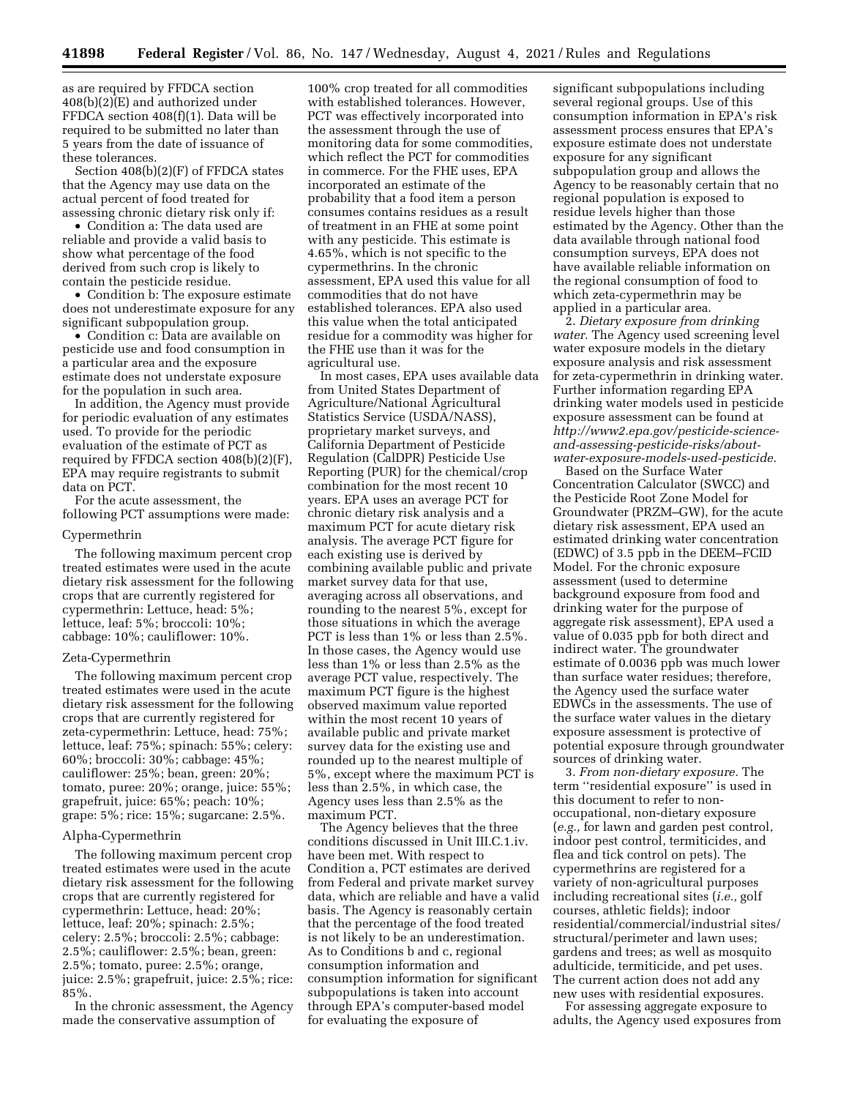as are required by FFDCA section 408(b)(2)(E) and authorized under FFDCA section 408(f)(1). Data will be required to be submitted no later than 5 years from the date of issuance of these tolerances.

Section 408(b)(2)(F) of FFDCA states that the Agency may use data on the actual percent of food treated for assessing chronic dietary risk only if:

• Condition a: The data used are reliable and provide a valid basis to show what percentage of the food derived from such crop is likely to contain the pesticide residue.

• Condition b: The exposure estimate does not underestimate exposure for any significant subpopulation group.

• Condition c: Data are available on pesticide use and food consumption in a particular area and the exposure estimate does not understate exposure for the population in such area.

In addition, the Agency must provide for periodic evaluation of any estimates used. To provide for the periodic evaluation of the estimate of PCT as required by FFDCA section 408(b)(2)(F), EPA may require registrants to submit data on PCT.

For the acute assessment, the following PCT assumptions were made:

#### Cypermethrin

The following maximum percent crop treated estimates were used in the acute dietary risk assessment for the following crops that are currently registered for cypermethrin: Lettuce, head: 5%; lettuce, leaf: 5%; broccoli: 10%; cabbage: 10%; cauliflower: 10%.

#### Zeta-Cypermethrin

The following maximum percent crop treated estimates were used in the acute dietary risk assessment for the following crops that are currently registered for zeta-cypermethrin: Lettuce, head: 75%; lettuce, leaf: 75%; spinach: 55%; celery: 60%; broccoli: 30%; cabbage: 45%; cauliflower: 25%; bean, green: 20%; tomato, puree: 20%; orange, juice: 55%; grapefruit, juice: 65%; peach: 10%; grape: 5%; rice: 15%; sugarcane: 2.5%.

#### Alpha-Cypermethrin

The following maximum percent crop treated estimates were used in the acute dietary risk assessment for the following crops that are currently registered for cypermethrin: Lettuce, head: 20%; lettuce, leaf: 20%; spinach: 2.5%; celery: 2.5%; broccoli: 2.5%; cabbage: 2.5%; cauliflower: 2.5%; bean, green: 2.5%; tomato, puree: 2.5%; orange, juice: 2.5%; grapefruit, juice: 2.5%; rice: 85%.

In the chronic assessment, the Agency made the conservative assumption of

100% crop treated for all commodities with established tolerances. However, PCT was effectively incorporated into the assessment through the use of monitoring data for some commodities, which reflect the PCT for commodities in commerce. For the FHE uses, EPA incorporated an estimate of the probability that a food item a person consumes contains residues as a result of treatment in an FHE at some point with any pesticide. This estimate is 4.65%, which is not specific to the cypermethrins. In the chronic assessment, EPA used this value for all commodities that do not have established tolerances. EPA also used this value when the total anticipated residue for a commodity was higher for the FHE use than it was for the agricultural use.

In most cases, EPA uses available data from United States Department of Agriculture/National Agricultural Statistics Service (USDA/NASS), proprietary market surveys, and California Department of Pesticide Regulation (CalDPR) Pesticide Use Reporting (PUR) for the chemical/crop combination for the most recent 10 years. EPA uses an average PCT for chronic dietary risk analysis and a maximum PCT for acute dietary risk analysis. The average PCT figure for each existing use is derived by combining available public and private market survey data for that use, averaging across all observations, and rounding to the nearest 5%, except for those situations in which the average PCT is less than 1% or less than 2.5%. In those cases, the Agency would use less than 1% or less than 2.5% as the average PCT value, respectively. The maximum PCT figure is the highest observed maximum value reported within the most recent 10 years of available public and private market survey data for the existing use and rounded up to the nearest multiple of 5%, except where the maximum PCT is less than 2.5%, in which case, the Agency uses less than 2.5% as the maximum PCT.

The Agency believes that the three conditions discussed in Unit III.C.1.iv. have been met. With respect to Condition a, PCT estimates are derived from Federal and private market survey data, which are reliable and have a valid basis. The Agency is reasonably certain that the percentage of the food treated is not likely to be an underestimation. As to Conditions b and c, regional consumption information and consumption information for significant subpopulations is taken into account through EPA's computer-based model for evaluating the exposure of

significant subpopulations including several regional groups. Use of this consumption information in EPA's risk assessment process ensures that EPA's exposure estimate does not understate exposure for any significant subpopulation group and allows the Agency to be reasonably certain that no regional population is exposed to residue levels higher than those estimated by the Agency. Other than the data available through national food consumption surveys, EPA does not have available reliable information on the regional consumption of food to which zeta-cypermethrin may be applied in a particular area.

2. *Dietary exposure from drinking water.* The Agency used screening level water exposure models in the dietary exposure analysis and risk assessment for zeta-cypermethrin in drinking water. Further information regarding EPA drinking water models used in pesticide exposure assessment can be found at *[http://www2.epa.gov/pesticide-science](http://www2.epa.gov/pesticide-science-and-assessing-pesticide-risks/about-water-exposure-models-used-pesticide)[and-assessing-pesticide-risks/about](http://www2.epa.gov/pesticide-science-and-assessing-pesticide-risks/about-water-exposure-models-used-pesticide)[water-exposure-models-used-pesticide.](http://www2.epa.gov/pesticide-science-and-assessing-pesticide-risks/about-water-exposure-models-used-pesticide)* 

Based on the Surface Water Concentration Calculator (SWCC) and the Pesticide Root Zone Model for Groundwater (PRZM–GW), for the acute dietary risk assessment, EPA used an estimated drinking water concentration (EDWC) of 3.5 ppb in the DEEM–FCID Model. For the chronic exposure assessment (used to determine background exposure from food and drinking water for the purpose of aggregate risk assessment), EPA used a value of 0.035 ppb for both direct and indirect water. The groundwater estimate of 0.0036 ppb was much lower than surface water residues; therefore, the Agency used the surface water EDWCs in the assessments. The use of the surface water values in the dietary exposure assessment is protective of potential exposure through groundwater sources of drinking water.

3. *From non-dietary exposure.* The term ''residential exposure'' is used in this document to refer to nonoccupational, non-dietary exposure (*e.g.,* for lawn and garden pest control, indoor pest control, termiticides, and flea and tick control on pets). The cypermethrins are registered for a variety of non-agricultural purposes including recreational sites (*i.e.,* golf courses, athletic fields); indoor residential/commercial/industrial sites/ structural/perimeter and lawn uses; gardens and trees; as well as mosquito adulticide, termiticide, and pet uses. The current action does not add any new uses with residential exposures.

For assessing aggregate exposure to adults, the Agency used exposures from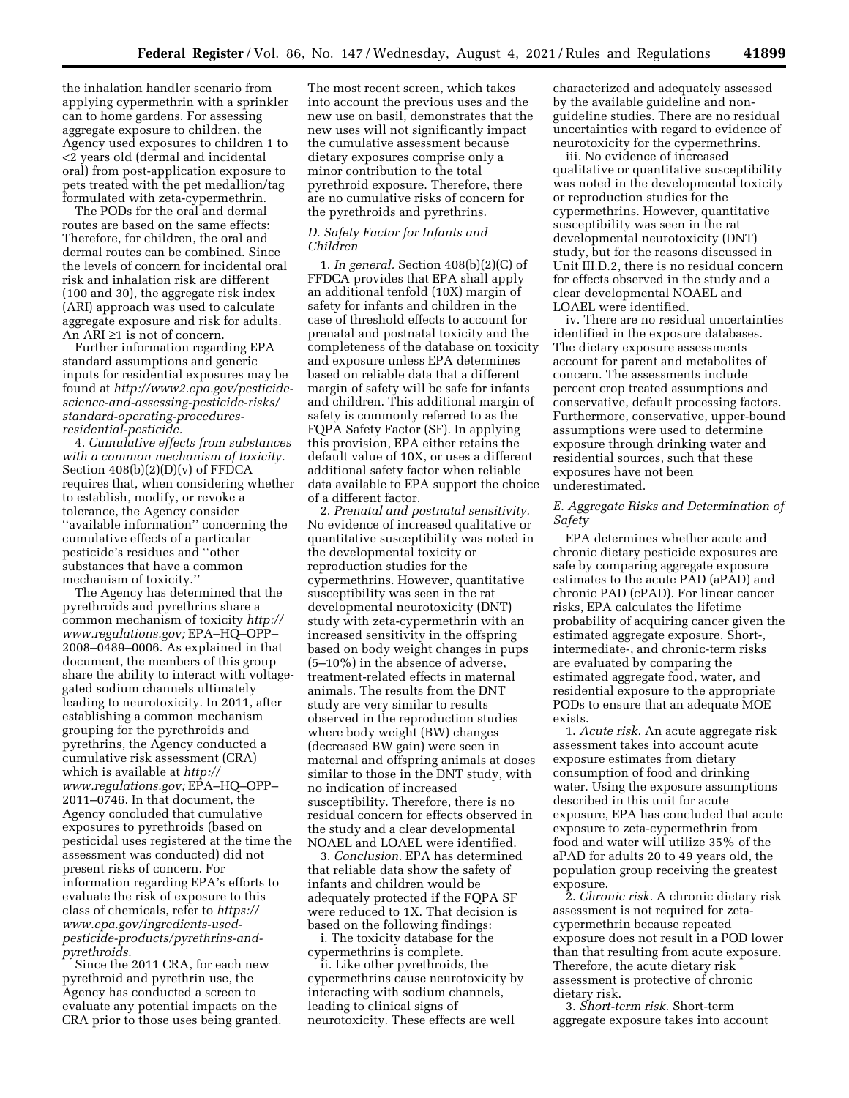the inhalation handler scenario from applying cypermethrin with a sprinkler can to home gardens. For assessing aggregate exposure to children, the Agency used exposures to children 1 to <2 years old (dermal and incidental oral) from post-application exposure to pets treated with the pet medallion/tag formulated with zeta-cypermethrin.

The PODs for the oral and dermal routes are based on the same effects: Therefore, for children, the oral and dermal routes can be combined. Since the levels of concern for incidental oral risk and inhalation risk are different (100 and 30), the aggregate risk index (ARI) approach was used to calculate aggregate exposure and risk for adults. An ARI ≥1 is not of concern.

Further information regarding EPA standard assumptions and generic inputs for residential exposures may be found at *[http://www2.epa.gov/pesticide](http://www2.epa.gov/pesticide-science-and-assessing-pesticide-risks/standard-operating-procedures-residential-pesticide)[science-and-assessing-pesticide-risks/](http://www2.epa.gov/pesticide-science-and-assessing-pesticide-risks/standard-operating-procedures-residential-pesticide)  [standard-operating-procedures](http://www2.epa.gov/pesticide-science-and-assessing-pesticide-risks/standard-operating-procedures-residential-pesticide)[residential-pesticide.](http://www2.epa.gov/pesticide-science-and-assessing-pesticide-risks/standard-operating-procedures-residential-pesticide)* 

4. *Cumulative effects from substances with a common mechanism of toxicity.*  Section 408(b)(2)(D)(v) of FFDCA requires that, when considering whether to establish, modify, or revoke a tolerance, the Agency consider ''available information'' concerning the cumulative effects of a particular pesticide's residues and ''other substances that have a common mechanism of toxicity.''

The Agency has determined that the pyrethroids and pyrethrins share a common mechanism of toxicity *[http://](http://www.regulations.gov) [www.regulations.gov;](http://www.regulations.gov)* EPA–HQ–OPP– 2008–0489–0006. As explained in that document, the members of this group share the ability to interact with voltagegated sodium channels ultimately leading to neurotoxicity. In 2011, after establishing a common mechanism grouping for the pyrethroids and pyrethrins, the Agency conducted a cumulative risk assessment (CRA) which is available at *[http://](http://www.regulations.gov) [www.regulations.gov;](http://www.regulations.gov)* EPA–HQ–OPP– 2011–0746. In that document, the Agency concluded that cumulative exposures to pyrethroids (based on pesticidal uses registered at the time the assessment was conducted) did not present risks of concern. For information regarding EPA's efforts to evaluate the risk of exposure to this class of chemicals, refer to *[https://](https://www.epa.gov/ingredients-used-pesticide-products/pyrethrins-and-pyrethroids) [www.epa.gov/ingredients-used](https://www.epa.gov/ingredients-used-pesticide-products/pyrethrins-and-pyrethroids)[pesticide-products/pyrethrins-and](https://www.epa.gov/ingredients-used-pesticide-products/pyrethrins-and-pyrethroids)[pyrethroids.](https://www.epa.gov/ingredients-used-pesticide-products/pyrethrins-and-pyrethroids)* 

Since the 2011 CRA, for each new pyrethroid and pyrethrin use, the Agency has conducted a screen to evaluate any potential impacts on the CRA prior to those uses being granted.

The most recent screen, which takes into account the previous uses and the new use on basil, demonstrates that the new uses will not significantly impact the cumulative assessment because dietary exposures comprise only a minor contribution to the total pyrethroid exposure. Therefore, there are no cumulative risks of concern for the pyrethroids and pyrethrins.

#### *D. Safety Factor for Infants and Children*

1. *In general.* Section 408(b)(2)(C) of FFDCA provides that EPA shall apply an additional tenfold (10X) margin of safety for infants and children in the case of threshold effects to account for prenatal and postnatal toxicity and the completeness of the database on toxicity and exposure unless EPA determines based on reliable data that a different margin of safety will be safe for infants and children. This additional margin of safety is commonly referred to as the FQPA Safety Factor (SF). In applying this provision, EPA either retains the default value of 10X, or uses a different additional safety factor when reliable data available to EPA support the choice of a different factor.

2. *Prenatal and postnatal sensitivity.*  No evidence of increased qualitative or quantitative susceptibility was noted in the developmental toxicity or reproduction studies for the cypermethrins. However, quantitative susceptibility was seen in the rat developmental neurotoxicity (DNT) study with zeta-cypermethrin with an increased sensitivity in the offspring based on body weight changes in pups (5–10%) in the absence of adverse, treatment-related effects in maternal animals. The results from the DNT study are very similar to results observed in the reproduction studies where body weight (BW) changes (decreased BW gain) were seen in maternal and offspring animals at doses similar to those in the DNT study, with no indication of increased susceptibility. Therefore, there is no residual concern for effects observed in the study and a clear developmental NOAEL and LOAEL were identified.

3. *Conclusion.* EPA has determined that reliable data show the safety of infants and children would be adequately protected if the FQPA SF were reduced to 1X. That decision is based on the following findings:

i. The toxicity database for the cypermethrins is complete.

ii. Like other pyrethroids, the cypermethrins cause neurotoxicity by interacting with sodium channels, leading to clinical signs of neurotoxicity. These effects are well

characterized and adequately assessed by the available guideline and nonguideline studies. There are no residual uncertainties with regard to evidence of neurotoxicity for the cypermethrins.

iii. No evidence of increased qualitative or quantitative susceptibility was noted in the developmental toxicity or reproduction studies for the cypermethrins. However, quantitative susceptibility was seen in the rat developmental neurotoxicity (DNT) study, but for the reasons discussed in Unit III.D.2, there is no residual concern for effects observed in the study and a clear developmental NOAEL and LOAEL were identified.

iv. There are no residual uncertainties identified in the exposure databases. The dietary exposure assessments account for parent and metabolites of concern. The assessments include percent crop treated assumptions and conservative, default processing factors. Furthermore, conservative, upper-bound assumptions were used to determine exposure through drinking water and residential sources, such that these exposures have not been underestimated.

#### *E. Aggregate Risks and Determination of Safety*

EPA determines whether acute and chronic dietary pesticide exposures are safe by comparing aggregate exposure estimates to the acute PAD (aPAD) and chronic PAD (cPAD). For linear cancer risks, EPA calculates the lifetime probability of acquiring cancer given the estimated aggregate exposure. Short-, intermediate-, and chronic-term risks are evaluated by comparing the estimated aggregate food, water, and residential exposure to the appropriate PODs to ensure that an adequate MOE exists.

1. *Acute risk.* An acute aggregate risk assessment takes into account acute exposure estimates from dietary consumption of food and drinking water. Using the exposure assumptions described in this unit for acute exposure, EPA has concluded that acute exposure to zeta-cypermethrin from food and water will utilize 35% of the aPAD for adults 20 to 49 years old, the population group receiving the greatest exposure.

2. *Chronic risk.* A chronic dietary risk assessment is not required for zetacypermethrin because repeated exposure does not result in a POD lower than that resulting from acute exposure. Therefore, the acute dietary risk assessment is protective of chronic dietary risk.

3. *Short-term risk.* Short-term aggregate exposure takes into account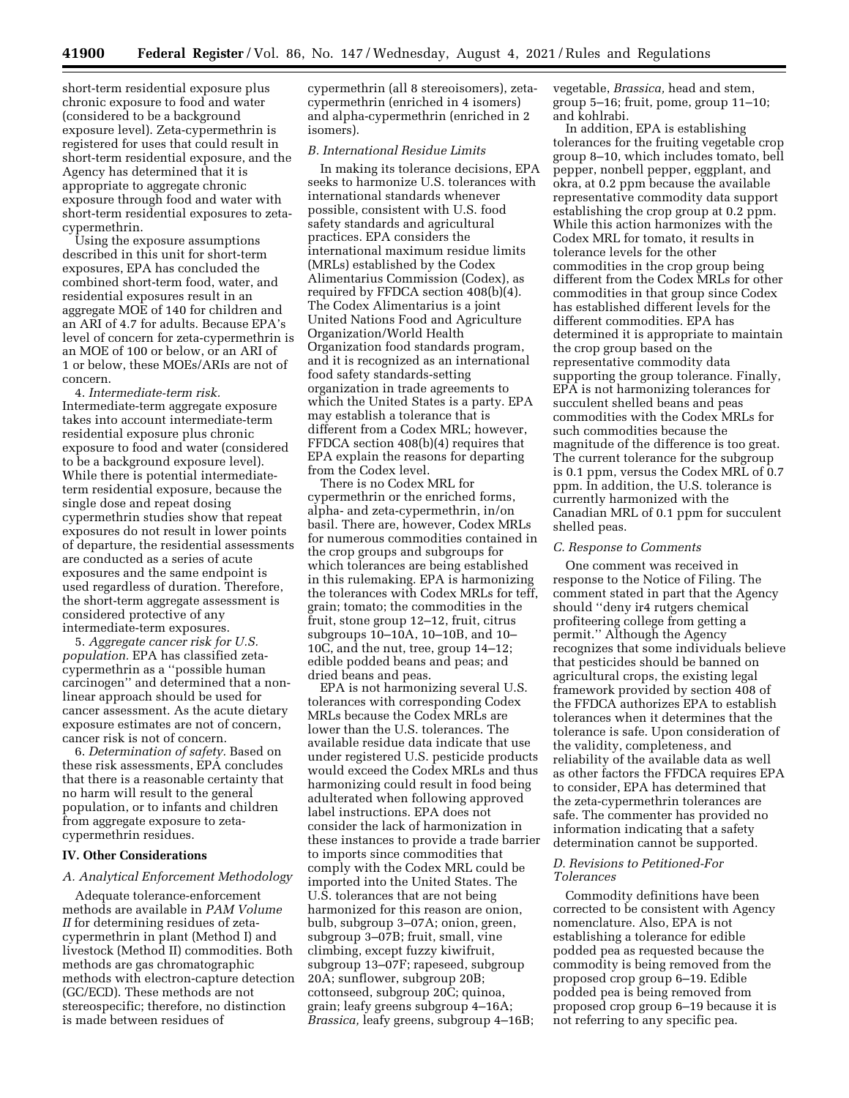short-term residential exposure plus chronic exposure to food and water (considered to be a background exposure level). Zeta-cypermethrin is registered for uses that could result in short-term residential exposure, and the Agency has determined that it is appropriate to aggregate chronic exposure through food and water with short-term residential exposures to zetacypermethrin.

Using the exposure assumptions described in this unit for short-term exposures, EPA has concluded the combined short-term food, water, and residential exposures result in an aggregate MOE of 140 for children and an ARI of 4.7 for adults. Because EPA's level of concern for zeta-cypermethrin is an MOE of 100 or below, or an ARI of 1 or below, these MOEs/ARIs are not of concern.

4. *Intermediate-term risk.*  Intermediate-term aggregate exposure takes into account intermediate-term residential exposure plus chronic exposure to food and water (considered to be a background exposure level). While there is potential intermediateterm residential exposure, because the single dose and repeat dosing cypermethrin studies show that repeat exposures do not result in lower points of departure, the residential assessments are conducted as a series of acute exposures and the same endpoint is used regardless of duration. Therefore, the short-term aggregate assessment is considered protective of any intermediate-term exposures.

5. *Aggregate cancer risk for U.S. population.* EPA has classified zetacypermethrin as a ''possible human carcinogen'' and determined that a nonlinear approach should be used for cancer assessment. As the acute dietary exposure estimates are not of concern, cancer risk is not of concern.

6. *Determination of safety.* Based on these risk assessments, EPA concludes that there is a reasonable certainty that no harm will result to the general population, or to infants and children from aggregate exposure to zetacypermethrin residues.

#### **IV. Other Considerations**

#### *A. Analytical Enforcement Methodology*

Adequate tolerance-enforcement methods are available in *PAM Volume II* for determining residues of zetacypermethrin in plant (Method I) and livestock (Method II) commodities. Both methods are gas chromatographic methods with electron-capture detection (GC/ECD). These methods are not stereospecific; therefore, no distinction is made between residues of

cypermethrin (all 8 stereoisomers), zetacypermethrin (enriched in 4 isomers) and alpha-cypermethrin (enriched in 2 isomers).

## *B. International Residue Limits*

In making its tolerance decisions, EPA seeks to harmonize U.S. tolerances with international standards whenever possible, consistent with U.S. food safety standards and agricultural practices. EPA considers the international maximum residue limits (MRLs) established by the Codex Alimentarius Commission (Codex), as required by FFDCA section 408(b)(4). The Codex Alimentarius is a joint United Nations Food and Agriculture Organization/World Health Organization food standards program, and it is recognized as an international food safety standards-setting organization in trade agreements to which the United States is a party. EPA may establish a tolerance that is different from a Codex MRL; however, FFDCA section 408(b)(4) requires that EPA explain the reasons for departing from the Codex level.

There is no Codex MRL for cypermethrin or the enriched forms, alpha- and zeta-cypermethrin, in/on basil. There are, however, Codex MRLs for numerous commodities contained in the crop groups and subgroups for which tolerances are being established in this rulemaking. EPA is harmonizing the tolerances with Codex MRLs for teff, grain; tomato; the commodities in the fruit, stone group 12–12, fruit, citrus subgroups 10–10A, 10–10B, and 10– 10C, and the nut, tree, group 14–12; edible podded beans and peas; and dried beans and peas.

EPA is not harmonizing several U.S. tolerances with corresponding Codex MRLs because the Codex MRLs are lower than the U.S. tolerances. The available residue data indicate that use under registered U.S. pesticide products would exceed the Codex MRLs and thus harmonizing could result in food being adulterated when following approved label instructions. EPA does not consider the lack of harmonization in these instances to provide a trade barrier to imports since commodities that comply with the Codex MRL could be imported into the United States. The U.S. tolerances that are not being harmonized for this reason are onion, bulb, subgroup 3–07A; onion, green, subgroup 3–07B; fruit, small, vine climbing, except fuzzy kiwifruit, subgroup 13–07F; rapeseed, subgroup 20A; sunflower, subgroup 20B; cottonseed, subgroup 20C; quinoa, grain; leafy greens subgroup 4–16A; *Brassica,* leafy greens, subgroup 4–16B;

vegetable, *Brassica,* head and stem, group 5–16; fruit, pome, group 11–10; and kohlrabi.

In addition, EPA is establishing tolerances for the fruiting vegetable crop group 8–10, which includes tomato, bell pepper, nonbell pepper, eggplant, and okra, at 0.2 ppm because the available representative commodity data support establishing the crop group at 0.2 ppm. While this action harmonizes with the Codex MRL for tomato, it results in tolerance levels for the other commodities in the crop group being different from the Codex MRLs for other commodities in that group since Codex has established different levels for the different commodities. EPA has determined it is appropriate to maintain the crop group based on the representative commodity data supporting the group tolerance. Finally, EPA is not harmonizing tolerances for succulent shelled beans and peas commodities with the Codex MRLs for such commodities because the magnitude of the difference is too great. The current tolerance for the subgroup is 0.1 ppm, versus the Codex MRL of 0.7 ppm. In addition, the U.S. tolerance is currently harmonized with the Canadian MRL of 0.1 ppm for succulent shelled peas.

#### *C. Response to Comments*

One comment was received in response to the Notice of Filing. The comment stated in part that the Agency should ''deny ir4 rutgers chemical profiteering college from getting a permit.'' Although the Agency recognizes that some individuals believe that pesticides should be banned on agricultural crops, the existing legal framework provided by section 408 of the FFDCA authorizes EPA to establish tolerances when it determines that the tolerance is safe. Upon consideration of the validity, completeness, and reliability of the available data as well as other factors the FFDCA requires EPA to consider, EPA has determined that the zeta-cypermethrin tolerances are safe. The commenter has provided no information indicating that a safety determination cannot be supported.

## *D. Revisions to Petitioned-For Tolerances*

Commodity definitions have been corrected to be consistent with Agency nomenclature. Also, EPA is not establishing a tolerance for edible podded pea as requested because the commodity is being removed from the proposed crop group 6–19. Edible podded pea is being removed from proposed crop group 6–19 because it is not referring to any specific pea.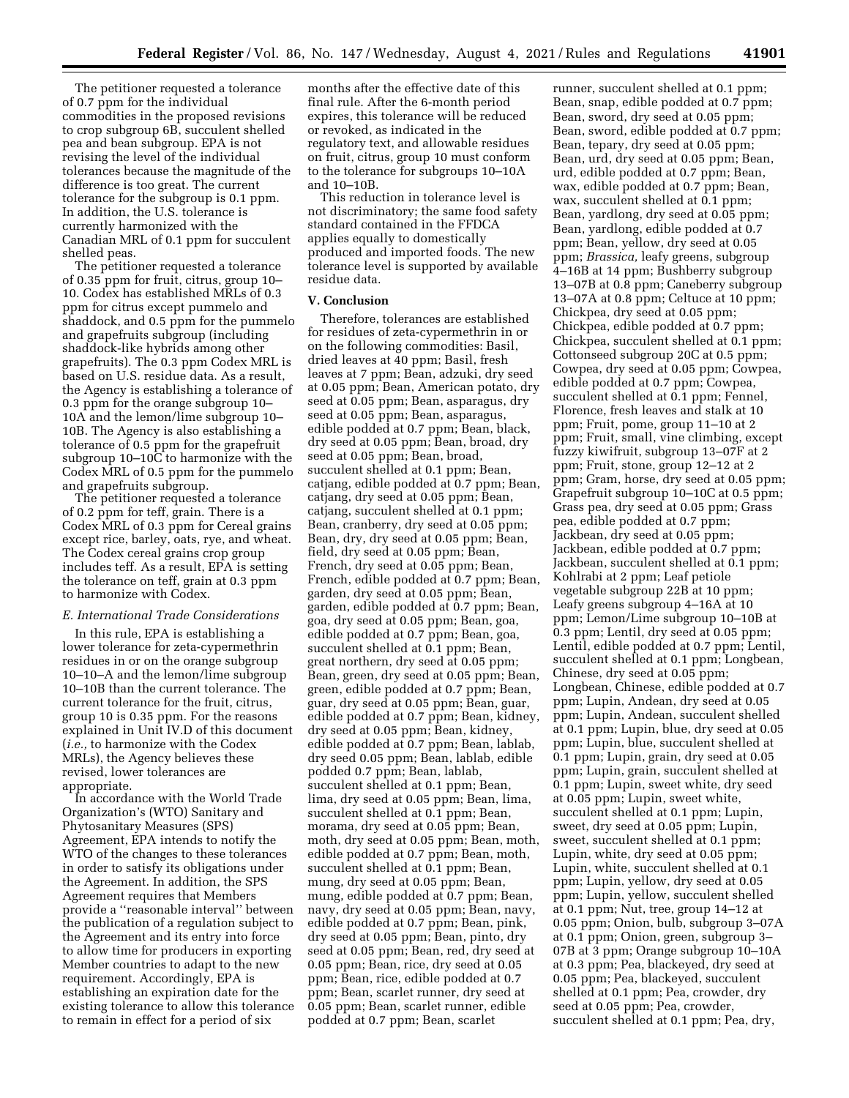The petitioner requested a tolerance of 0.7 ppm for the individual commodities in the proposed revisions to crop subgroup 6B, succulent shelled pea and bean subgroup. EPA is not revising the level of the individual tolerances because the magnitude of the difference is too great. The current tolerance for the subgroup is 0.1 ppm. In addition, the U.S. tolerance is currently harmonized with the Canadian MRL of 0.1 ppm for succulent shelled peas.

The petitioner requested a tolerance of 0.35 ppm for fruit, citrus, group 10– 10. Codex has established MRLs of 0.3 ppm for citrus except pummelo and shaddock, and 0.5 ppm for the pummelo and grapefruits subgroup (including shaddock-like hybrids among other grapefruits). The 0.3 ppm Codex MRL is based on U.S. residue data. As a result, the Agency is establishing a tolerance of 0.3 ppm for the orange subgroup 10– 10A and the lemon/lime subgroup 10– 10B. The Agency is also establishing a tolerance of 0.5 ppm for the grapefruit subgroup 10–10C to harmonize with the Codex MRL of 0.5 ppm for the pummelo and grapefruits subgroup.

The petitioner requested a tolerance of 0.2 ppm for teff, grain. There is a Codex MRL of 0.3 ppm for Cereal grains except rice, barley, oats, rye, and wheat. The Codex cereal grains crop group includes teff. As a result, EPA is setting the tolerance on teff, grain at 0.3 ppm to harmonize with Codex.

#### *E. International Trade Considerations*

In this rule, EPA is establishing a lower tolerance for zeta-cypermethrin residues in or on the orange subgroup 10–10–A and the lemon/lime subgroup 10–10B than the current tolerance. The current tolerance for the fruit, citrus, group 10 is 0.35 ppm. For the reasons explained in Unit IV.D of this document (*i.e.,* to harmonize with the Codex MRLs), the Agency believes these revised, lower tolerances are appropriate.

In accordance with the World Trade Organization's (WTO) Sanitary and Phytosanitary Measures (SPS) Agreement, EPA intends to notify the WTO of the changes to these tolerances in order to satisfy its obligations under the Agreement. In addition, the SPS Agreement requires that Members provide a ''reasonable interval'' between the publication of a regulation subject to the Agreement and its entry into force to allow time for producers in exporting Member countries to adapt to the new requirement. Accordingly, EPA is establishing an expiration date for the existing tolerance to allow this tolerance to remain in effect for a period of six

months after the effective date of this final rule. After the 6-month period expires, this tolerance will be reduced or revoked, as indicated in the regulatory text, and allowable residues on fruit, citrus, group 10 must conform to the tolerance for subgroups 10–10A and 10–10B.

This reduction in tolerance level is not discriminatory; the same food safety standard contained in the FFDCA applies equally to domestically produced and imported foods. The new tolerance level is supported by available residue data.

#### **V. Conclusion**

Therefore, tolerances are established for residues of zeta-cypermethrin in or on the following commodities: Basil, dried leaves at 40 ppm; Basil, fresh leaves at 7 ppm; Bean, adzuki, dry seed at 0.05 ppm; Bean, American potato, dry seed at 0.05 ppm; Bean, asparagus, dry seed at 0.05 ppm; Bean, asparagus, edible podded at 0.7 ppm; Bean, black, dry seed at 0.05 ppm; Bean, broad, dry seed at 0.05 ppm; Bean, broad, succulent shelled at 0.1 ppm; Bean, catjang, edible podded at 0.7 ppm; Bean, catjang, dry seed at 0.05 ppm; Bean, catjang, succulent shelled at 0.1 ppm; Bean, cranberry, dry seed at 0.05 ppm; Bean, dry, dry seed at 0.05 ppm; Bean, field, dry seed at 0.05 ppm; Bean, French, dry seed at 0.05 ppm; Bean, French, edible podded at 0.7 ppm; Bean, garden, dry seed at 0.05 ppm; Bean, garden, edible podded at 0.7 ppm; Bean, goa, dry seed at 0.05 ppm; Bean, goa, edible podded at 0.7 ppm; Bean, goa, succulent shelled at 0.1 ppm; Bean, great northern, dry seed at 0.05 ppm; Bean, green, dry seed at 0.05 ppm; Bean, green, edible podded at 0.7 ppm; Bean, guar, dry seed at 0.05 ppm; Bean, guar, edible podded at 0.7 ppm; Bean, kidney, dry seed at 0.05 ppm; Bean, kidney, edible podded at 0.7 ppm; Bean, lablab, dry seed 0.05 ppm; Bean, lablab, edible podded 0.7 ppm; Bean, lablab, succulent shelled at 0.1 ppm; Bean, lima, dry seed at 0.05 ppm; Bean, lima, succulent shelled at 0.1 ppm; Bean, morama, dry seed at 0.05 ppm; Bean, moth, dry seed at 0.05 ppm; Bean, moth, edible podded at 0.7 ppm; Bean, moth, succulent shelled at 0.1 ppm; Bean, mung, dry seed at 0.05 ppm; Bean, mung, edible podded at 0.7 ppm; Bean, navy, dry seed at 0.05 ppm; Bean, navy, edible podded at 0.7 ppm; Bean, pink, dry seed at 0.05 ppm; Bean, pinto, dry seed at 0.05 ppm; Bean, red, dry seed at 0.05 ppm; Bean, rice, dry seed at 0.05 ppm; Bean, rice, edible podded at 0.7 ppm; Bean, scarlet runner, dry seed at 0.05 ppm; Bean, scarlet runner, edible podded at 0.7 ppm; Bean, scarlet

runner, succulent shelled at 0.1 ppm; Bean, snap, edible podded at 0.7 ppm; Bean, sword, dry seed at 0.05 ppm; Bean, sword, edible podded at 0.7 ppm; Bean, tepary, dry seed at 0.05 ppm; Bean, urd, dry seed at 0.05 ppm; Bean, urd, edible podded at 0.7 ppm; Bean, wax, edible podded at 0.7 ppm; Bean, wax, succulent shelled at 0.1 ppm; Bean, yardlong, dry seed at 0.05 ppm; Bean, yardlong, edible podded at 0.7 ppm; Bean, yellow, dry seed at 0.05 ppm; *Brassica,* leafy greens, subgroup 4–16B at 14 ppm; Bushberry subgroup 13–07B at 0.8 ppm; Caneberry subgroup 13–07A at 0.8 ppm; Celtuce at 10 ppm; Chickpea, dry seed at 0.05 ppm; Chickpea, edible podded at 0.7 ppm; Chickpea, succulent shelled at 0.1 ppm; Cottonseed subgroup 20C at 0.5 ppm; Cowpea, dry seed at 0.05 ppm; Cowpea, edible podded at 0.7 ppm; Cowpea, succulent shelled at 0.1 ppm; Fennel, Florence, fresh leaves and stalk at 10 ppm; Fruit, pome, group 11–10 at 2 ppm; Fruit, small, vine climbing, except fuzzy kiwifruit, subgroup 13–07F at 2 ppm; Fruit, stone, group 12–12 at 2 ppm; Gram, horse, dry seed at 0.05 ppm; Grapefruit subgroup 10–10C at 0.5 ppm; Grass pea, dry seed at 0.05 ppm; Grass pea, edible podded at 0.7 ppm; Jackbean, dry seed at 0.05 ppm; Jackbean, edible podded at 0.7 ppm; Jackbean, succulent shelled at 0.1 ppm; Kohlrabi at 2 ppm; Leaf petiole vegetable subgroup 22B at 10 ppm; Leafy greens subgroup 4–16A at 10 ppm; Lemon/Lime subgroup 10–10B at 0.3 ppm; Lentil, dry seed at 0.05 ppm; Lentil, edible podded at 0.7 ppm; Lentil, succulent shelled at 0.1 ppm; Longbean, Chinese, dry seed at 0.05 ppm; Longbean, Chinese, edible podded at 0.7 ppm; Lupin, Andean, dry seed at 0.05 ppm; Lupin, Andean, succulent shelled at 0.1 ppm; Lupin, blue, dry seed at 0.05 ppm; Lupin, blue, succulent shelled at 0.1 ppm; Lupin, grain, dry seed at 0.05 ppm; Lupin, grain, succulent shelled at 0.1 ppm; Lupin, sweet white, dry seed at 0.05 ppm; Lupin, sweet white, succulent shelled at 0.1 ppm; Lupin, sweet, dry seed at 0.05 ppm; Lupin, sweet, succulent shelled at 0.1 ppm; Lupin, white, dry seed at 0.05 ppm; Lupin, white, succulent shelled at 0.1 ppm; Lupin, yellow, dry seed at 0.05 ppm; Lupin, yellow, succulent shelled at 0.1 ppm; Nut, tree, group 14–12 at 0.05 ppm; Onion, bulb, subgroup 3–07A at 0.1 ppm; Onion, green, subgroup 3– 07B at 3 ppm; Orange subgroup 10–10A at 0.3 ppm; Pea, blackeyed, dry seed at 0.05 ppm; Pea, blackeyed, succulent shelled at 0.1 ppm; Pea, crowder, dry seed at 0.05 ppm; Pea, crowder, succulent shelled at 0.1 ppm; Pea, dry,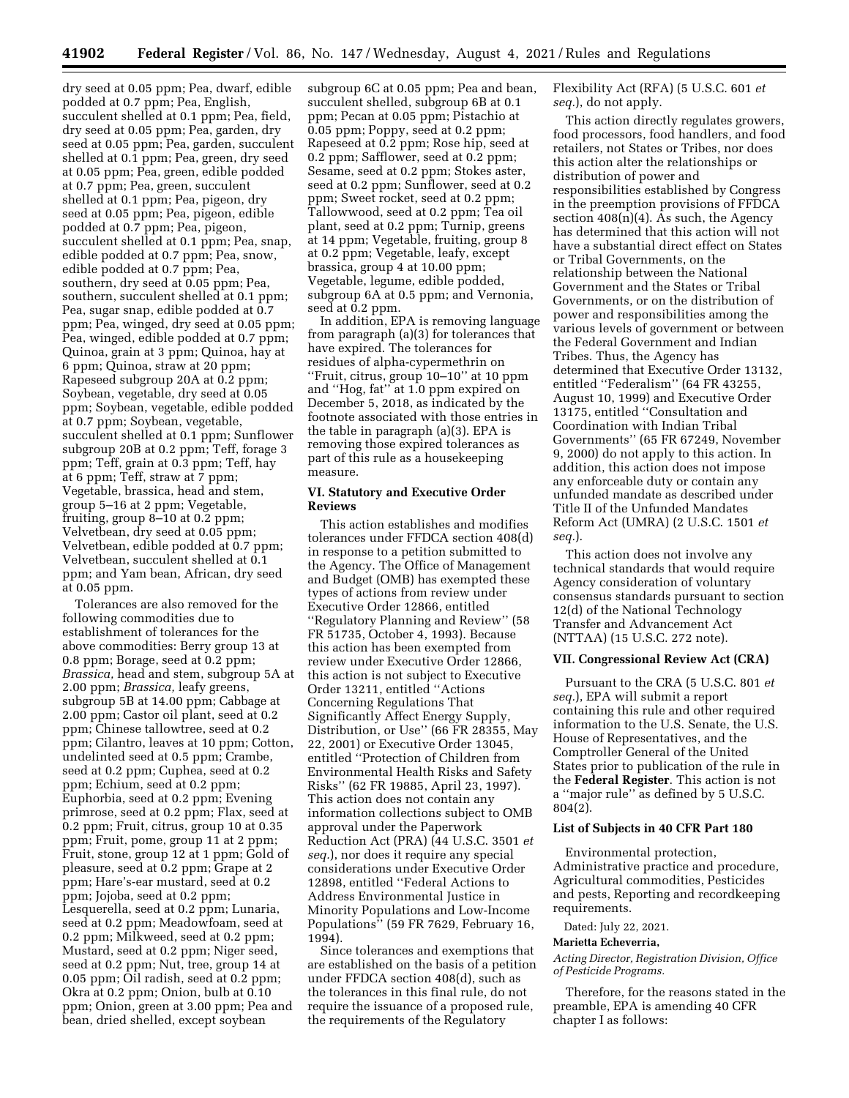dry seed at 0.05 ppm; Pea, dwarf, edible podded at 0.7 ppm; Pea, English, succulent shelled at 0.1 ppm; Pea, field, dry seed at 0.05 ppm; Pea, garden, dry seed at 0.05 ppm; Pea, garden, succulent shelled at 0.1 ppm; Pea, green, dry seed at 0.05 ppm; Pea, green, edible podded at 0.7 ppm; Pea, green, succulent shelled at 0.1 ppm; Pea, pigeon, dry seed at 0.05 ppm; Pea, pigeon, edible podded at 0.7 ppm; Pea, pigeon, succulent shelled at 0.1 ppm; Pea, snap, edible podded at 0.7 ppm; Pea, snow, edible podded at 0.7 ppm; Pea, southern, dry seed at 0.05 ppm; Pea, southern, succulent shelled at 0.1 ppm; Pea, sugar snap, edible podded at 0.7 ppm; Pea, winged, dry seed at 0.05 ppm; Pea, winged, edible podded at 0.7 ppm; Quinoa, grain at 3 ppm; Quinoa, hay at 6 ppm; Quinoa, straw at 20 ppm; Rapeseed subgroup 20A at 0.2 ppm; Soybean, vegetable, dry seed at 0.05 ppm; Soybean, vegetable, edible podded at 0.7 ppm; Soybean, vegetable, succulent shelled at 0.1 ppm; Sunflower subgroup 20B at 0.2 ppm; Teff, forage 3 ppm; Teff, grain at 0.3 ppm; Teff, hay at 6 ppm; Teff, straw at 7 ppm; Vegetable, brassica, head and stem, group 5–16 at 2 ppm; Vegetable, fruiting, group 8–10 at 0.2 ppm; Velvetbean, dry seed at 0.05 ppm; Velvetbean, edible podded at 0.7 ppm; Velvetbean, succulent shelled at 0.1 ppm; and Yam bean, African, dry seed at 0.05 ppm.

Tolerances are also removed for the following commodities due to establishment of tolerances for the above commodities: Berry group 13 at 0.8 ppm; Borage, seed at 0.2 ppm; *Brassica,* head and stem, subgroup 5A at 2.00 ppm; *Brassica,* leafy greens, subgroup 5B at 14.00 ppm; Cabbage at 2.00 ppm; Castor oil plant, seed at 0.2 ppm; Chinese tallowtree, seed at 0.2 ppm; Cilantro, leaves at 10 ppm; Cotton, undelinted seed at 0.5 ppm; Crambe, seed at 0.2 ppm; Cuphea, seed at 0.2 ppm; Echium, seed at 0.2 ppm; Euphorbia, seed at 0.2 ppm; Evening primrose, seed at 0.2 ppm; Flax, seed at 0.2 ppm; Fruit, citrus, group 10 at 0.35 ppm; Fruit, pome, group 11 at 2 ppm; Fruit, stone, group 12 at 1 ppm; Gold of pleasure, seed at 0.2 ppm; Grape at 2 ppm; Hare's-ear mustard, seed at 0.2 ppm; Jojoba, seed at 0.2 ppm; Lesquerella, seed at 0.2 ppm; Lunaria, seed at 0.2 ppm; Meadowfoam, seed at 0.2 ppm; Milkweed, seed at 0.2 ppm; Mustard, seed at 0.2 ppm; Niger seed, seed at 0.2 ppm; Nut, tree, group 14 at 0.05 ppm; Oil radish, seed at 0.2 ppm; Okra at 0.2 ppm; Onion, bulb at 0.10 ppm; Onion, green at 3.00 ppm; Pea and bean, dried shelled, except soybean

subgroup 6C at 0.05 ppm; Pea and bean, succulent shelled, subgroup 6B at 0.1 ppm; Pecan at 0.05 ppm; Pistachio at 0.05 ppm; Poppy, seed at 0.2 ppm; Rapeseed at 0.2 ppm; Rose hip, seed at 0.2 ppm; Safflower, seed at 0.2 ppm; Sesame, seed at 0.2 ppm; Stokes aster, seed at 0.2 ppm; Sunflower, seed at 0.2 ppm; Sweet rocket, seed at 0.2 ppm; Tallowwood, seed at 0.2 ppm; Tea oil plant, seed at 0.2 ppm; Turnip, greens at 14 ppm; Vegetable, fruiting, group 8 at 0.2 ppm; Vegetable, leafy, except brassica, group 4 at 10.00 ppm; Vegetable, legume, edible podded, subgroup 6A at 0.5 ppm; and Vernonia, seed at 0.2 ppm.

In addition, EPA is removing language from paragraph (a)(3) for tolerances that have expired. The tolerances for residues of alpha-cypermethrin on ''Fruit, citrus, group 10–10'' at 10 ppm and ''Hog, fat'' at 1.0 ppm expired on December 5, 2018, as indicated by the footnote associated with those entries in the table in paragraph (a)(3). EPA is removing those expired tolerances as part of this rule as a housekeeping measure.

## **VI. Statutory and Executive Order Reviews**

This action establishes and modifies tolerances under FFDCA section 408(d) in response to a petition submitted to the Agency. The Office of Management and Budget (OMB) has exempted these types of actions from review under Executive Order 12866, entitled ''Regulatory Planning and Review'' (58 FR 51735, October 4, 1993). Because this action has been exempted from review under Executive Order 12866, this action is not subject to Executive Order 13211, entitled ''Actions Concerning Regulations That Significantly Affect Energy Supply, Distribution, or Use'' (66 FR 28355, May 22, 2001) or Executive Order 13045, entitled ''Protection of Children from Environmental Health Risks and Safety Risks'' (62 FR 19885, April 23, 1997). This action does not contain any information collections subject to OMB approval under the Paperwork Reduction Act (PRA) (44 U.S.C. 3501 *et seq.*), nor does it require any special considerations under Executive Order 12898, entitled ''Federal Actions to Address Environmental Justice in Minority Populations and Low-Income Populations'' (59 FR 7629, February 16, 1994).

Since tolerances and exemptions that are established on the basis of a petition under FFDCA section 408(d), such as the tolerances in this final rule, do not require the issuance of a proposed rule, the requirements of the Regulatory

Flexibility Act (RFA) (5 U.S.C. 601 *et seq.*), do not apply.

This action directly regulates growers, food processors, food handlers, and food retailers, not States or Tribes, nor does this action alter the relationships or distribution of power and responsibilities established by Congress in the preemption provisions of FFDCA section  $408(n)(4)$ . As such, the Agency has determined that this action will not have a substantial direct effect on States or Tribal Governments, on the relationship between the National Government and the States or Tribal Governments, or on the distribution of power and responsibilities among the various levels of government or between the Federal Government and Indian Tribes. Thus, the Agency has determined that Executive Order 13132, entitled ''Federalism'' (64 FR 43255, August 10, 1999) and Executive Order 13175, entitled ''Consultation and Coordination with Indian Tribal Governments'' (65 FR 67249, November 9, 2000) do not apply to this action. In addition, this action does not impose any enforceable duty or contain any unfunded mandate as described under Title II of the Unfunded Mandates Reform Act (UMRA) (2 U.S.C. 1501 *et seq.*).

This action does not involve any technical standards that would require Agency consideration of voluntary consensus standards pursuant to section 12(d) of the National Technology Transfer and Advancement Act (NTTAA) (15 U.S.C. 272 note).

### **VII. Congressional Review Act (CRA)**

Pursuant to the CRA (5 U.S.C. 801 *et seq.*), EPA will submit a report containing this rule and other required information to the U.S. Senate, the U.S. House of Representatives, and the Comptroller General of the United States prior to publication of the rule in the **Federal Register**. This action is not a ''major rule'' as defined by 5 U.S.C. 804(2).

### **List of Subjects in 40 CFR Part 180**

Environmental protection, Administrative practice and procedure, Agricultural commodities, Pesticides and pests, Reporting and recordkeeping requirements.

Dated: July 22, 2021.

#### **Marietta Echeverria,**

*Acting Director, Registration Division, Office of Pesticide Programs.* 

Therefore, for the reasons stated in the preamble, EPA is amending 40 CFR chapter I as follows: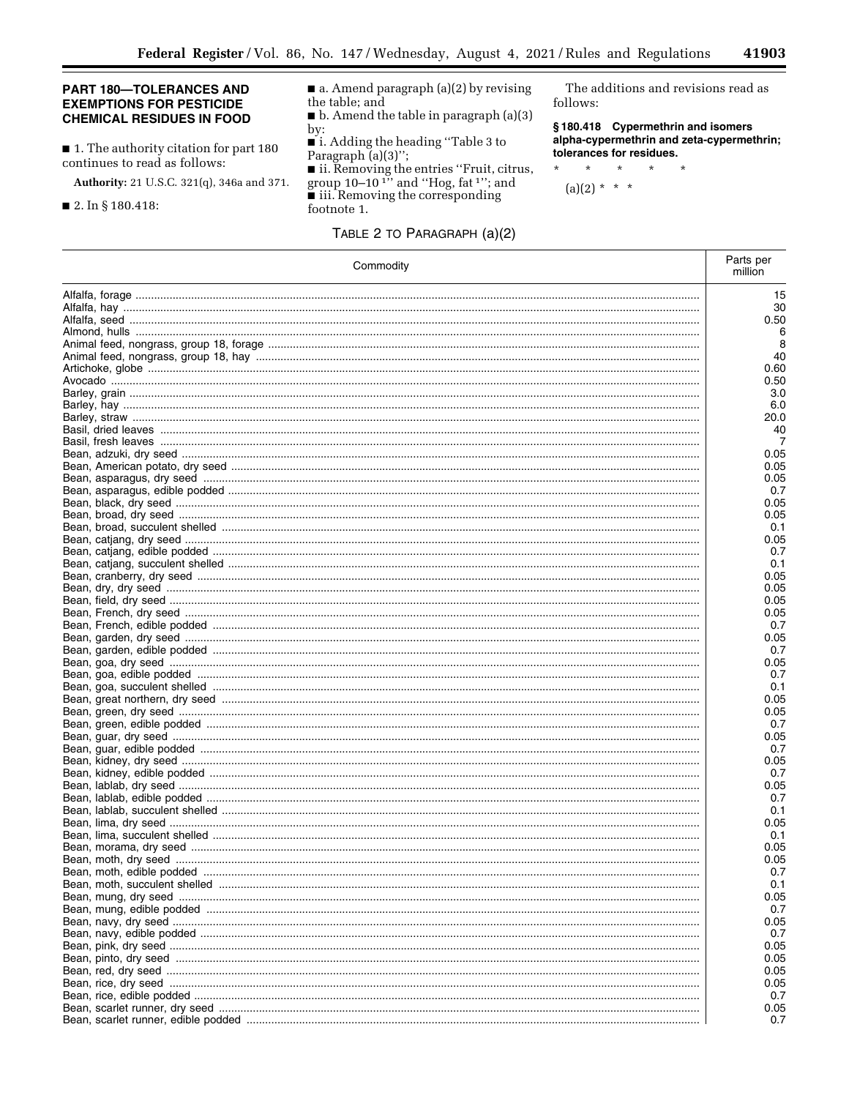## PART 180-TOLERANCES AND **EXEMPTIONS FOR PESTICIDE CHEMICAL RESIDUES IN FOOD**

■ 1. The authority citation for part 180 continues to read as follows:

Authority: 21 U.S.C. 321(q), 346a and 371.

# $\blacksquare$  2. In § 180.418:

 $\blacksquare$  a. Amend paragraph (a)(2) by revising the table; and  $\blacksquare$  b. Amend the table in paragraph (a)(3)

by:

 $\blacksquare$  i. Adding the heading "Table 3 to Paragraph  $(a)(3)$ ";

is it. Removing the entries "Fruit, citrus,<br>group  $10-10^{1}$ " and "Hog, fat<sup>1</sup>"; and<br>iii. Removing the corresponding footnote 1.

TABLE 2 TO PARAGRAPH (a)(2)

The additions and revisions read as follows:

e.

§180.418 Cypermethrin and isomers alpha-cypermethrin and zeta-cypermethrin; tolerances for residues.

 $\star$  $\star$  $\star$  $\star$  $\star$ 

 $(a)(2) * * * *$ 

| Commodity | Parts per<br>million |
|-----------|----------------------|
|           | 15                   |
|           | 30                   |
|           | 0.50                 |
|           | 6                    |
|           | 8                    |
|           | 40                   |
|           | 0.60                 |
|           | 0.50                 |
|           | 3.0                  |
|           | 6.0                  |
|           | 20.0                 |
|           | 40                   |
|           | 7                    |
|           | 0.05                 |
|           | 0.05                 |
|           | 0.05                 |
|           | 0.7                  |
|           | 0.05                 |
|           | 0.05                 |
|           | 0.1                  |
|           | 0.05                 |
|           | 0.7                  |
|           | 0.1                  |
|           | 0.05                 |
|           | 0.05                 |
|           | 0.05                 |
|           | 0.05                 |
|           | 0.7                  |
|           | 0.05                 |
|           | 0.7                  |
|           | 0.05                 |
|           | 0.7                  |
|           | 0.1                  |
|           | 0.05                 |
|           | 0.05                 |
|           | 0.7                  |
|           | 0.05<br>0.7          |
|           | 0.05                 |
|           | 0.7                  |
|           | 0.05                 |
|           | 0.7                  |
|           | 0.1                  |
|           | 0.05                 |
|           | 0.1                  |
|           | 0.05                 |
|           | 0.05                 |
|           | 0.7                  |
|           | 0.1                  |
|           | 0.05                 |
|           | 0.7                  |
|           | 0.05                 |
|           | 0.7                  |
|           | 0.05                 |
|           |                      |
|           | 0.05                 |
|           | 0.05                 |
|           | 0.05<br>0.7          |
|           | 0.05                 |
|           | 0.7                  |
|           |                      |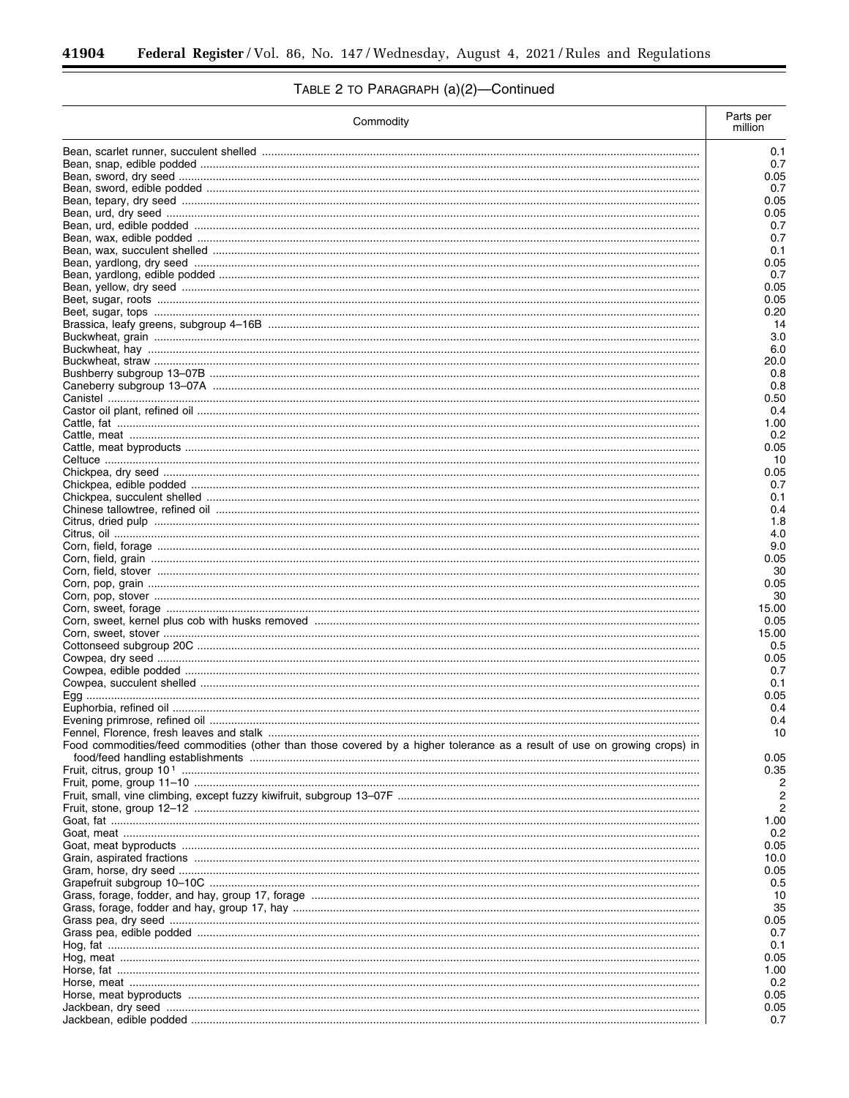-

# TABLE 2 TO PARAGRAPH (a)(2)-Continued

| Commodity                                                                                                                 | Parts per<br>million |
|---------------------------------------------------------------------------------------------------------------------------|----------------------|
|                                                                                                                           | 0.1                  |
|                                                                                                                           | 0.7                  |
|                                                                                                                           | 0.05                 |
|                                                                                                                           | 0.7<br>0.05          |
|                                                                                                                           | 0.05                 |
|                                                                                                                           | 0.7                  |
|                                                                                                                           | 0.7                  |
|                                                                                                                           | 0.1                  |
|                                                                                                                           | 0.05<br>0.7          |
|                                                                                                                           | 0.05                 |
|                                                                                                                           | 0.05                 |
|                                                                                                                           | 0.20                 |
|                                                                                                                           | -14                  |
|                                                                                                                           | 3.0<br>6.0           |
|                                                                                                                           | 20.0                 |
|                                                                                                                           | 0.8                  |
|                                                                                                                           | 0.8                  |
|                                                                                                                           | 0.50                 |
|                                                                                                                           | 0.4<br>1.00          |
|                                                                                                                           | 0.2                  |
|                                                                                                                           | 0.05                 |
|                                                                                                                           | 10                   |
|                                                                                                                           | 0.05                 |
|                                                                                                                           | 0.7<br>0.1           |
|                                                                                                                           | 0.4                  |
|                                                                                                                           | 1.8                  |
|                                                                                                                           | 4.0                  |
|                                                                                                                           | 9.0                  |
|                                                                                                                           | 0.05<br>30           |
|                                                                                                                           | 0.05                 |
|                                                                                                                           | 30                   |
|                                                                                                                           | 15.00                |
|                                                                                                                           | 0.05                 |
|                                                                                                                           | 15.00<br>0.5         |
|                                                                                                                           | 0.05                 |
|                                                                                                                           | 0.7                  |
|                                                                                                                           | 0.1                  |
|                                                                                                                           | 0.05                 |
|                                                                                                                           | 0.4<br>0.4           |
|                                                                                                                           | 10                   |
| Food commodities/feed commodities (other than those covered by a higher tolerance as a result of use on growing crops) in | 0.05                 |
|                                                                                                                           | 0.35                 |
|                                                                                                                           | 2                    |
|                                                                                                                           | 2                    |
|                                                                                                                           | 1.00                 |
|                                                                                                                           | 0.2                  |
|                                                                                                                           | 0.05                 |
|                                                                                                                           | 10.0                 |
|                                                                                                                           | 0.05                 |
|                                                                                                                           | 0.5                  |
|                                                                                                                           | 10<br>35             |
|                                                                                                                           | 0.05                 |
|                                                                                                                           | 0.7                  |
|                                                                                                                           | 0.1                  |
|                                                                                                                           | 0.05                 |
|                                                                                                                           | 1.00                 |
|                                                                                                                           | 0.2<br>0.05          |
|                                                                                                                           | 0.05                 |
|                                                                                                                           | 0.7                  |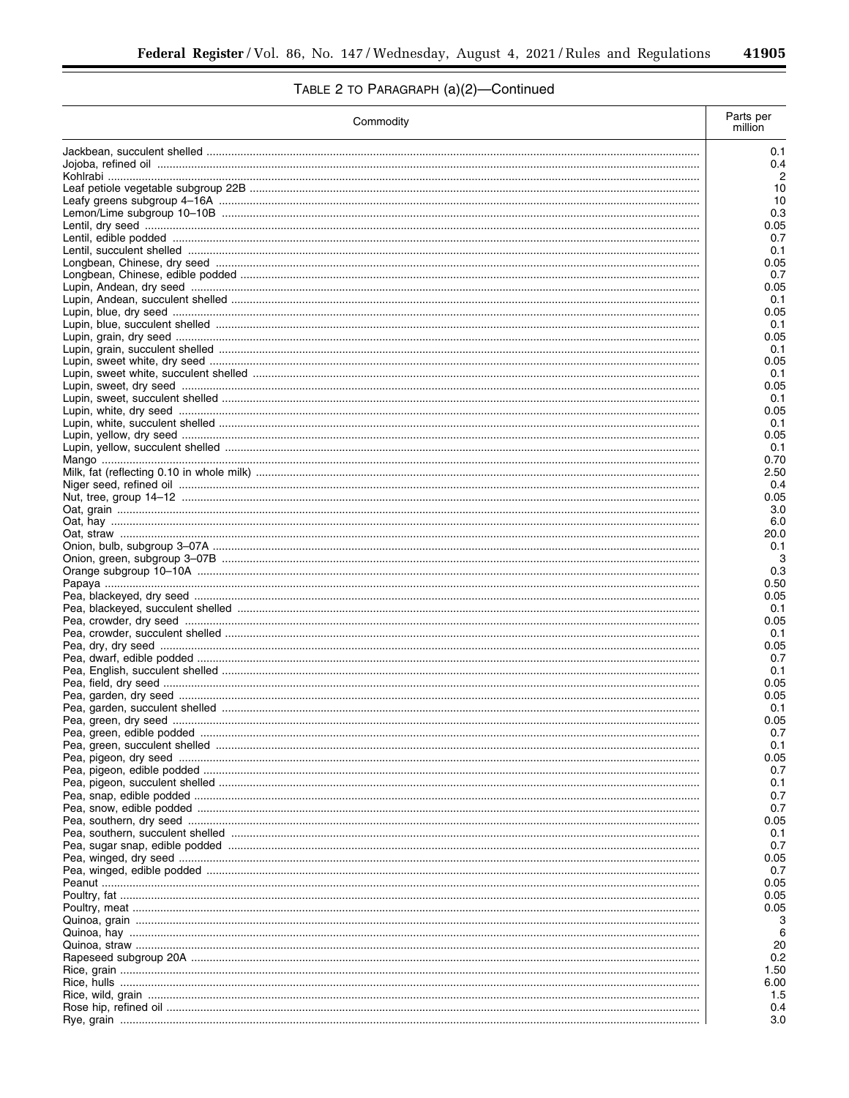$\overline{\phantom{a}}$ 

# TABLE 2 TO PARAGRAPH (a)(2)-Continued

| Commodity | Parts per<br>million |
|-----------|----------------------|
|           | 0.1                  |
|           | 0.4                  |
|           | 2                    |
|           | 10<br>10             |
|           | 0.3                  |
|           | 0.05                 |
|           | 0.7                  |
|           | 0.1                  |
|           | 0.05<br>0.7          |
|           | 0.05                 |
|           | 0.1                  |
|           | 0.05                 |
|           | 0.1                  |
|           | 0.05                 |
|           | 0.1<br>0.05          |
|           | 0.1                  |
|           | 0.05                 |
|           | 0.1                  |
|           | 0.05                 |
|           | 0.1                  |
|           | 0.05                 |
|           | 0.1                  |
|           | 0.70<br>2.50         |
|           | 0.4                  |
|           | 0.05                 |
|           | 3.0                  |
|           | 6.0                  |
|           | 20.0                 |
|           | 0.1                  |
|           | 3<br>0.3             |
|           | 0.50                 |
|           | 0.05                 |
|           | 0.1                  |
|           | 0.05                 |
|           | 0.1                  |
|           | 0.05                 |
|           | 0.7<br>0.1           |
|           | 0.05                 |
|           | 0.05                 |
|           | 0.1                  |
|           | 0.05                 |
|           | 0.7                  |
|           | 0.1                  |
|           | 0.05                 |
|           | 0.7<br>0.1           |
|           | 0.7                  |
|           | 0.7                  |
|           | 0.05                 |
|           | 0.1                  |
|           | 0.7                  |
|           | 0.05                 |
|           | 0.7<br>0.05          |
|           | 0.05                 |
|           | 0.05                 |
|           | З                    |
|           | 6                    |
|           | 20                   |
|           | 0.2                  |
|           | 1.50                 |
|           | 6.00<br>1.5          |
|           | 0.4                  |
|           | 3.0                  |